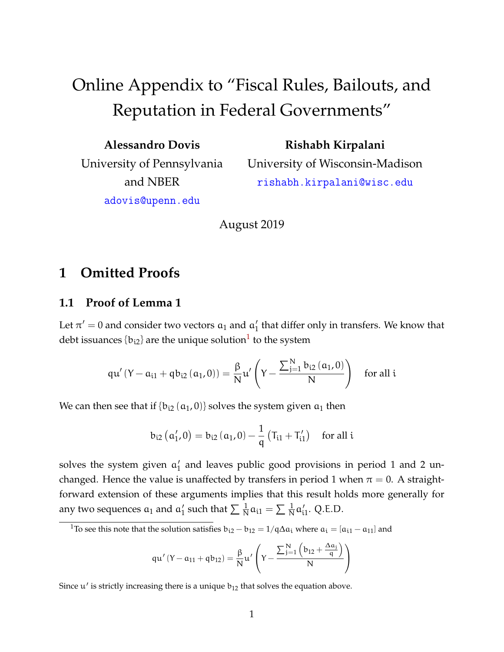# Online Appendix to "Fiscal Rules, Bailouts, and Reputation in Federal Governments"

| <b>Alessandro Dovis</b>    |
|----------------------------|
| University of Pennsylvania |
| and NBER                   |
| adovis@upenn.edu           |

**Rishabh Kirpalani** University of Wisconsin-Madison rishabh.kirpalani@wisc.edu

August 2019

## **1 Omitted Proofs**

## **1.1 Proof of Lemma 1**

Let  $\pi'=0$  and consider two vectors  $\mathfrak{a}_1$  and  $\mathfrak{a}_1'$  $_1'$  that differ only in transfers. We know that debt issuances  $\{b_{i2}\}$  are the unique solution $^1$  $^1$  to the system

$$
q u'\left(Y-a_{i1}+qb_{i2}\left(a_1,0\right)\right)=\frac{\beta}{N} u'\left(Y-\frac{\sum_{j=1}^{N}b_{i2}\left(a_1,0\right)}{N}\right)\quad \text{for all $i$}
$$

We can then see that if  $\{b_{i2} (a_1, 0)\}$  solves the system given  $a_1$  then

$$
b_{i2}\left(\alpha_{1}^{\prime},0\right)=b_{i2}\left(\alpha_{1},0\right)-\frac{1}{q}\left(T_{i1}+T_{i1}^{\prime}\right) \quad \text{for all } i
$$

solves the system given  $a_1$ <sup>4</sup>  $_1'$  and leaves public good provisions in period 1 and 2 unchanged. Hence the value is unaffected by transfers in period 1 when  $\pi = 0$ . A straightforward extension of these arguments implies that this result holds more generally for any two sequences  $\mathfrak{a}_1$  and  $\mathfrak{a}'_1$ <sup>1</sup> such that  $\sum \frac{1}{N}a_{i1} = \sum \frac{1}{N}a_i^2$  $_{i1}^{\prime}$ . Q.E.D.

<span id="page-0-0"></span><sup>1</sup>To see this note that the solution satisfies  $b_{i2} - b_{12} = 1/q\Delta a_i$  where  $a_i = [a_{i1} - a_{11}]$  and

$$
q u'\left( Y-a_{11}+qb_{12}\right) = \frac{\beta}{N} u'\left( Y-\frac{\sum_{j=1}^N\left( b_{12}+\frac{\Delta a_j}{q}\right)}{N}\right)
$$

Since  $u'$  is strictly increasing there is a unique  $b_{12}$  that solves the equation above.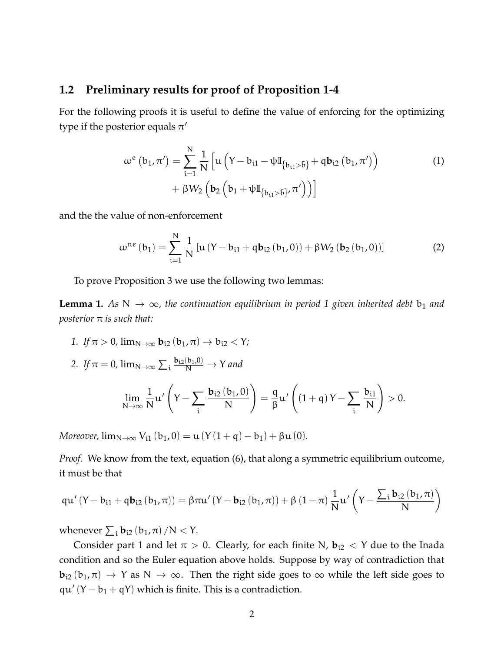#### **1.2 Preliminary results for proof of Proposition 1-4**

For the following proofs it is useful to define the value of enforcing for the optimizing type if the posterior equals  $\pi'$ 

<span id="page-1-1"></span>
$$
\omega^{e} (b_{1}, \pi') = \sum_{i=1}^{N} \frac{1}{N} \left[ u \left( Y - b_{i1} - \psi I_{\{b_{i1} > b\}} + q b_{i2} (b_{1}, \pi') \right) + \beta W_{2} \left( b_{2} \left( b_{1} + \psi I_{\{b_{i1} > b\}} , \pi' \right) \right) \right]
$$
(1)

and the the value of non-enforcement

$$
\omega^{ne}(b_1) = \sum_{i=1}^{N} \frac{1}{N} \left[ u \left( Y - b_{i1} + q b_{i2} \left( b_1, 0 \right) \right) + \beta W_2 \left( b_2 \left( b_1, 0 \right) \right) \right]
$$
(2)

To prove Proposition 3 we use the following two lemmas:

<span id="page-1-0"></span>**Lemma 1.** As  $N \to \infty$ , the continuation equilibrium in period 1 given inherited debt  $b_1$  and *posterior* π *is such that:*

- *1. If*  $\pi > 0$ ,  $\lim_{N \to \infty}$ **b**<sub>i</sub><sub>2</sub> (**b**<sub>1</sub>,  $\pi$ )  $\to$  **b**<sub>i</sub><sub>2</sub> < Y;
- 2. If  $\pi = 0$ ,  $\lim_{N \to \infty} \sum_{i} \frac{b_{i2}(b_1,0)}{N} \to Y$  and lim <sup>N</sup>→<sup>∞</sup> 1 N  $\mathfrak{u}'$  $Y - \sum$ i  $$ N  $\setminus$ = q β  $\mathfrak{u}'$  $(1+q)Y - \sum$ i  $b_{i1}$ N  $\setminus$  $> 0.$

*Moreover,*  $\lim_{N \to \infty} V_{i1} (b_1, 0) = u (Y (1 + q) - b_1) + \beta u (0)$ .

*Proof.* We know from the text, equation (6), that along a symmetric equilibrium outcome, it must be that

$$
q u'\left( Y-b_{i1}+q b_{i2}\left( b_1,\pi \right) \right) =\beta \pi u'\left( Y-b_{i2}\left( b_1,\pi \right) \right) +\beta \left( 1-\pi \right) \frac{1}{N} u'\left( Y-\frac{\sum_i b_{i2}\left( b_1,\pi \right) }{N} \right)
$$

whenever  $\sum_i \mathbf{b}_{i2}$   $(b_1, \pi)$  /N  $<$  Y.

Consider part 1 and let  $\pi > 0$ . Clearly, for each finite N,  $\mathbf{b}_{i2} < Y$  due to the Inada condition and so the Euler equation above holds. Suppose by way of contradiction that  **as**  $N \rightarrow \infty$ **. Then the right side goes to**  $\infty$  **while the left side goes to**  $qu'(Y - b_1 + qY)$  which is finite. This is a contradiction.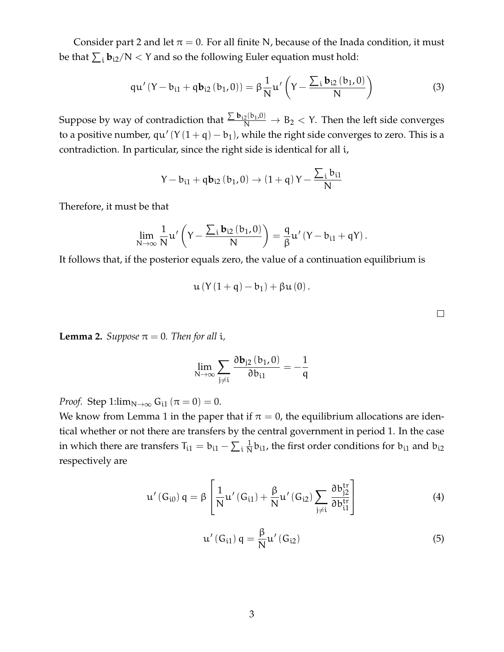Consider part 2 and let  $\pi = 0$ . For all finite N, because of the Inada condition, it must be that  $\sum_i \mathbf{b}_{i2}/N < Y$  and so the following Euler equation must hold:

$$
qu'(Y - b_{i1} + qb_{i2}(b_1, 0)) = \beta \frac{1}{N} u'\left(Y - \frac{\sum_{i} b_{i2}(b_1, 0)}{N}\right)
$$
(3)

Suppose by way of contradiction that  $\frac{\sum \bm{b}_{i2}(b_1,0)}{N} \to B_2 < Y$ . Then the left side converges to a positive number,  $qu'(Y(1 + q) - b_1)$ , while the right side converges to zero. This is a contradiction. In particular, since the right side is identical for all i,

$$
Y-b_{i1}+qb_{i2}\left(b_1,0\right)\rightarrow\left(1+q\right)Y-\frac{\sum_ib_{i1}}{N}
$$

Therefore, it must be that

$$
\lim_{N\to\infty}\frac{1}{N}u'\left(Y-\frac{\sum_{i}b_{i2}\left(b_{1},0\right)}{N}\right)=\frac{q}{\beta}u'\left(Y-b_{i1}+qY\right).
$$

It follows that, if the posterior equals zero, the value of a continuation equilibrium is

$$
u\left(Y\left(1+q\right)-b_1\right)+\beta u\left(0\right).
$$

 $\Box$ 

<span id="page-2-2"></span>**Lemma 2.** *Suppose*  $\pi = 0$ *. Then for all i*,

$$
\lim_{N \to \infty} \sum_{j \neq i} \frac{\partial \mathbf{b}_{j2} (b_1, 0)}{\partial b_{i1}} = -\frac{1}{q}
$$

*Proof.* Step 1: $\lim_{N\to\infty} G_{i1}(\pi = 0) = 0$ .

We know from Lemma 1 in the paper that if  $\pi = 0$ , the equilibrium allocations are identical whether or not there are transfers by the central government in period 1. In the case in which there are transfers  $\mathsf{T}_{\mathfrak i 1} = \mathsf{b}_{\mathfrak i 1} - \sum_{\mathfrak i} \frac{1}{\mathsf{N}}$  $\frac{1}{N}$ b<sub>i1</sub>, the first order conditions for b<sub>i1</sub> and b<sub>i2</sub> respectively are

<span id="page-2-0"></span>
$$
\mu'(G_{i0}) q = \beta \left[ \frac{1}{N} \mu'(G_{i1}) + \frac{\beta}{N} \mu'(G_{i2}) \sum_{j \neq i} \frac{\partial b_{j2}^{tr}}{\partial b_{i1}^{tr}} \right]
$$
(4)

<span id="page-2-1"></span>
$$
\mathfrak{u}'\left(\mathsf{G}_{\mathfrak{i}1}\right)\mathfrak{q}=\frac{\beta}{\mathsf{N}}\mathfrak{u}'\left(\mathsf{G}_{\mathfrak{i}2}\right) \tag{5}
$$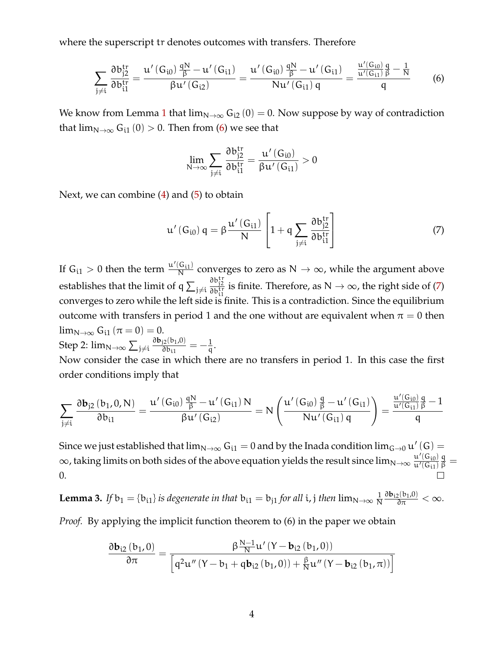where the superscript tr denotes outcomes with transfers. Therefore

<span id="page-3-0"></span>
$$
\sum_{j\neq i}\frac{\partial b_{j2}^{tr}}{\partial b_{i1}^{tr}}=\frac{u'\left(G_{i0}\right)\frac{qN}{\beta}-u'\left(G_{i1}\right)}{\beta u'\left(G_{i2}\right)}=\frac{u'\left(G_{i0}\right)\frac{qN}{\beta}-u'\left(G_{i1}\right)}{Nu'\left(G_{i1}\right)q}=\frac{\frac{u'\left(G_{i0}\right)}{u'\left(G_{i1}\right)}\frac{q}{\beta}-\frac{1}{N}}{q}\qquad \quad \ (6)
$$

We know from Lemma [1](#page-1-0) that  $\lim_{N\to\infty} G_{i2}(0) = 0$ . Now suppose by way of contradiction that  $\lim_{N\to\infty} G_{i1}(0) > 0$ . Then from [\(6\)](#page-3-0) we see that

$$
\lim_{N\rightarrow\infty}\sum_{j\neq i}\frac{\partial b_{j2}^{tr}}{\partial b_{i1}^{tr}}=\frac{u'\left(G_{i0}\right)}{\beta u'\left(G_{i1}\right)}>0
$$

Next, we can combine  $(4)$  and  $(5)$  to obtain

<span id="page-3-1"></span>
$$
\mathfrak{u}'\left(G_{i0}\right)\mathfrak{q}=\beta\frac{\mathfrak{u}'\left(G_{i1}\right)}{N}\left[1+\mathfrak{q}\sum_{j\neq i}\frac{\partial b_{j2}^{tr}}{\partial b_{i1}^{tr}}\right]
$$
(7)

If  $G_{i1} > 0$  then the term  $\frac{u'(G_{i1})}{N}$  $\frac{G_{11}}{N}$  converges to zero as  $N \to \infty$ , while the argument above establishes that the limit of q  $\sum_{j\neq i}$  $\frac{\partial b_{j2}^{tr}}{\partial b_{i1}^{tr}}$  is finite. Therefore, as  $N \rightarrow \infty$ , the right side of [\(7\)](#page-3-1) converges to zero while the left side is finite. This is a contradiction. Since the equilibrium outcome with transfers in period 1 and the one without are equivalent when  $\pi = 0$  then  $\lim_{N\to\infty} G_{i1}(\pi=0)=0.$ Step 2:  $\lim_{N\to\infty}\sum_{j\neq i}$  $\partial \mathbf{b}_{j2}(\mathbf{b}_1,0)$  $rac{12(61,0)}{3b_{11}} = -\frac{1}{9}$  $\frac{1}{q}$ .

Now consider the case in which there are no transfers in period 1. In this case the first order conditions imply that

$$
\sum_{j\neq i}\frac{\partial \mathbf{b}_{j2}\left(\mathbf{b}_{1},0,N\right)}{\partial \mathbf{b}_{i1}}=\frac{u'\left(\mathbf{G}_{i0}\right)\frac{qN}{\beta}-u'\left(\mathbf{G}_{i1}\right)N}{\beta u'\left(\mathbf{G}_{i2}\right)}=N\left(\frac{u'\left(\mathbf{G}_{i0}\right)\frac{q}{\beta}-u'\left(\mathbf{G}_{i1}\right)}{Nu'\left(\mathbf{G}_{i1}\right)q}\right)=\frac{\frac{u'\left(\mathbf{G}_{i0}\right)}{u'\left(\mathbf{G}_{i1}\right)}\frac{q}{\beta}-1}{q}
$$

Since we just established that  $\lim_{N\to\infty} G_{i1} = 0$  and by the Inada condition  $\lim_{G\to 0} u'(G) =$  $\infty$ , taking limits on both sides of the above equation yields the result since  $\lim_{N\to\infty}\frac{u'(G_{i0})}{u'(G_{i1})}$  $\overline{\mathfrak{u}'(\mathsf{G}_{\mathfrak{i}1})}$  $\frac{q}{\beta} =$ 0.

**Lemma 3.** If 
$$
b_1 = \{b_{i1}\}\
$$
 is degenerate in that  $b_{i1} = b_{j1}$  for all *i*, *j* then  $\lim_{N \to \infty} \frac{1}{N} \frac{\partial b_{i2}(b_1, 0)}{\partial \pi} < \infty$ .

*Proof.* By applying the implicit function theorem to (6) in the paper we obtain

$$
\frac{\partial \mathbf{b}_{i2}\left(\mathbf{b}_{1},0\right)}{\partial \pi}=\frac{\beta\frac{N-1}{N}u'\left(Y-\mathbf{b}_{i2}\left(\mathbf{b}_{1},0\right)\right)}{\left[q^{2}u''\left(Y-\mathbf{b}_{1}+q\mathbf{b}_{i2}\left(\mathbf{b}_{1},0\right)\right)+\frac{\beta}{N}u''\left(Y-\mathbf{b}_{i2}\left(\mathbf{b}_{1},\pi\right)\right)\right]}
$$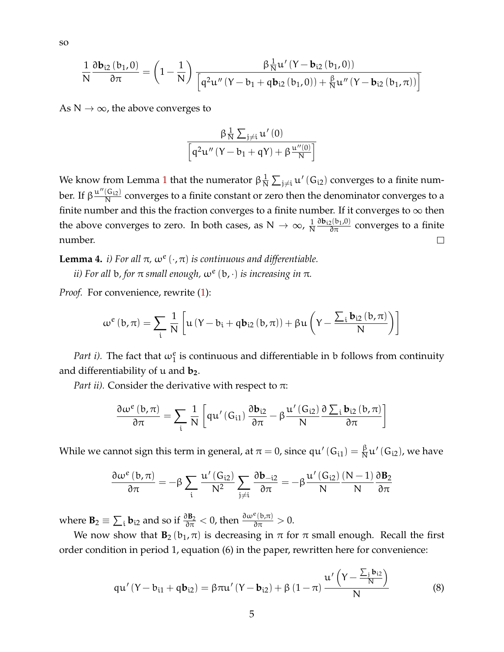so

$$
\frac{1}{N}\frac{\partial \mathbf{b}_{i2}\left(\mathbf{b}_{1},0\right)}{\partial \pi}=\left(1-\frac{1}{N}\right)\frac{\beta\frac{1}{N}u'\left(Y-\mathbf{b}_{i2}\left(\mathbf{b}_{1},0\right)\right)}{\left[q^{2}u''\left(Y-\mathbf{b}_{1}+q\mathbf{b}_{i2}\left(\mathbf{b}_{1},0\right)\right)+\frac{\beta}{N}u''\left(Y-\mathbf{b}_{i2}\left(\mathbf{b}_{1},\pi\right)\right)\right]}
$$

As  $N \to \infty$ , the above converges to

$$
\frac{\beta \frac{1}{N} \sum_{j \neq i} u'(0)}{\left[q^2 u''(Y - b_1 + qY) + \beta \frac{u''(0)}{N}\right]}
$$

We know from Lemma [1](#page-1-0) that the numerator  $\beta \frac{1}{N}$  $\frac{1}{\mathsf{N}}\sum_{\mathfrak{j}\neq \mathfrak{i}}\mathfrak{u}'\left(\mathsf{G}_{\mathfrak{i2}}\right)$  converges to a finite number. If  $\beta \frac{\mathfrak{u}''(\mathsf{G}_{\mathsf{i}2})}{\mathsf{N}}$  $\frac{N^{(1)}(2)}{N}$  converges to a finite constant or zero then the denominator converges to a finite number and this the fraction converges to a finite number. If it converges to  $\infty$  then  $\frac{\partial \mathbf{b}_{i2}(b_1,0)}{\partial \pi}$  converges to a finite the above converges to zero. In both cases, as  $N \to \infty$ ,  $\frac{1}{N}$ N number.  $\Box$ 

<span id="page-4-0"></span>**Lemma 4.** *i*) For all  $\pi$ ,  $\omega^e(\cdot, \pi)$  is continuous and differentiable.

*ii) For all* b*, for* π *small enough,* ω<sup>e</sup> (b, ·) *is increasing in* π*.*

*Proof.* For convenience, rewrite [\(1\)](#page-1-1):

$$
\omega^{e}\left(b,\pi\right)=\sum_{i}\frac{1}{N}\left[u\left(Y-b_{i}+q\bm{b}_{i2}\left(b,\pi\right)\right)+\beta u\left(Y-\frac{\sum_{i}b_{i2}\left(b,\pi\right)}{N}\right)\right]
$$

*Part i)*. The fact that  $\omega_1^e$  is continuous and differentiable in b follows from continuity and differentiability of u and **b2**.

*Part ii).* Consider the derivative with respect to  $\pi$ :

$$
\frac{\partial\omega^{e}\left(\boldsymbol{b},\pi\right)}{\partial\pi}=\sum_{i}\frac{1}{N}\left[q\boldsymbol{u}'\left(G_{i1}\right)\frac{\partial\boldsymbol{b}_{i2}}{\partial\pi}-\beta\frac{\boldsymbol{u}'\left(G_{i2}\right)}{N}\frac{\partial\sum_{i}\boldsymbol{b}_{i2}\left(\boldsymbol{b},\pi\right)}{\partial\pi}\right]
$$

While we cannot sign this term in general, at  $\pi=$  0, since qu' (G $_{\rm i1})=\frac{\beta}{\rm N}$  $\frac{\beta}{N}$ u' (G<sub>i2</sub>), we have

$$
\frac{\partial\omega^{e}\left(b,\pi\right)}{\partial\pi}=-\beta\sum_{i}\frac{u'\left(G_{i2}\right)}{N^{2}}\sum_{j\neq i}\frac{\partial b_{-i2}}{\partial\pi}=-\beta\frac{u'\left(G_{i2}\right)}{N}\frac{\left(N-1\right)}{N}\frac{\partial B_{2}}{\partial\pi}
$$

where  $\mathbf{B}_2 \equiv \sum_i \mathbf{b}_{i2}$  and so if  $\frac{\partial \mathbf{B}_2}{\partial \pi} < 0$ , then  $\frac{\partial \omega^e(\mathbf{b}, \pi)}{\partial \pi} > 0$ .

We now show that  $B_2(b_1, \pi)$  is decreasing in  $\pi$  for  $\pi$  small enough. Recall the first order condition in period 1, equation (6) in the paper, rewritten here for convenience:

$$
qu'(Y - b_{i1} + qb_{i2}) = \beta \pi u'(Y - b_{i2}) + \beta (1 - \pi) \frac{u'\left(Y - \frac{\sum_{j} b_{i2}}{N}\right)}{N}
$$
(8)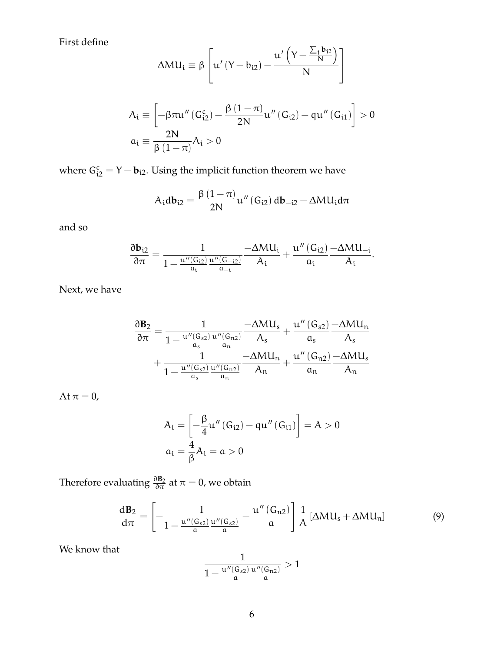First define

$$
\Delta M U_i \equiv \beta \left[ u' \left( Y - b_{i2} \right) - \frac{u' \left( Y - \frac{\sum_j b_{j2}}{N} \right)}{N} \right]
$$

$$
\begin{aligned} A_i & \equiv \left[ -\beta \pi u^{\prime \prime} \left( G^c_{i2} \right) - \frac{\beta \left( 1 - \pi \right)}{2N} u^{\prime \prime} \left( G_{i2} \right) - q u^{\prime \prime} \left( G_{i1} \right) \right] > 0 \\ \alpha_i & \equiv \frac{2N}{\beta \left( 1 - \pi \right)} A_i > 0 \end{aligned}
$$

where  $G_{i2}^c = Y - \mathbf{b}_{i2}$ . Using the implicit function theorem we have

$$
A_{i}db_{i2} = \frac{\beta (1 - \pi)}{2N} u''(G_{i2}) db_{-i2} - \Delta M U_{i} d\pi
$$

and so

$$
\frac{\partial \mathbf{b}_{i2}}{\partial \pi} = \frac{1}{1-\frac{u''(G_{i2})}{a_i}\frac{u''(G_{-i2})}{a_{-i}}} \frac{-\Delta M U_i}{A_i} + \frac{u''\left(G_{i2}\right)-\Delta M U_{-i}}{a_i}.
$$

Next, we have

$$
\begin{aligned} \frac{\partial \textbf{B}_{2}}{\partial \pi} &= \frac{1}{1-\frac{u''(G_{s2})}{\mathfrak{a}_{s}}\frac{u''(G_{n2})}{\mathfrak{a}_{n}}} -\Delta M U_{s}}{A_{s}}+\frac{u''(G_{s2})}{\mathfrak{a}_{s}}\frac{-\Delta M U_{n}}{A_{s}} \\ &+\frac{1}{1-\frac{u''(G_{s2})}{\mathfrak{a}_{s}}\frac{u''(G_{n2})}{\mathfrak{a}_{n}}} -\Delta M U_{n}}+\frac{u''(G_{n2})}{\mathfrak{a}_{n}}\frac{-\Delta M U_{s}}{A_{n}} \end{aligned}
$$

At  $\pi=0,$ 

$$
\begin{aligned} A_i &= \left[-\frac{\beta}{4}u''\left(G_{i2}\right) - qu''\left(G_{i1}\right)\right] = A > 0 \\ a_i &= \frac{4}{\beta}A_i = a > 0 \end{aligned}
$$

Therefore evaluating  $\frac{\partial \mathbf{B}_2}{\partial \pi}$  at  $\pi=0$ , we obtain

<span id="page-5-0"></span>
$$
\frac{dB_2}{d\pi} = \left[ -\frac{1}{1 - \frac{u''(G_{s2})}{a} \frac{u''(G_{s2})}{a}} - \frac{u''(G_{n2})}{a} \right] \frac{1}{A} \left[ \Delta M U_s + \Delta M U_n \right] \tag{9}
$$

We know that

$$
\frac{1}{1-\frac{u''(G_{s2})}{\mathfrak{a}}\frac{u''(G_{n2})}{\mathfrak{a}}}>1
$$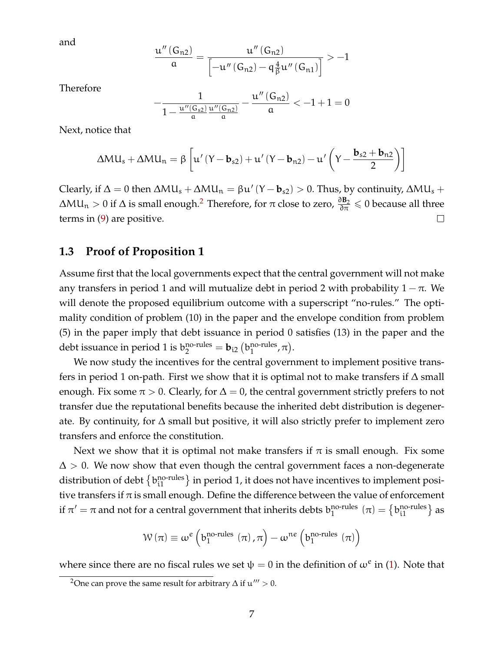and

$$
\frac{u^{\prime\prime}\left(G_{n2}\right)}{a}=\frac{u^{\prime\prime}\left(G_{n2}\right)}{\left[-u^{\prime\prime}\left(G_{n2}\right)-q\frac{4}{\beta}u^{\prime\prime}\left(G_{n1}\right)\right]}>-1
$$

Therefore

$$
-\frac{1}{1-\frac{u''(G_{s2})}{\mathfrak{a}}\frac{u''(G_{n2})}{\mathfrak{a}}}-\frac{u''\left(G_{n2}\right)}{\mathfrak{a}}<-1+1=0
$$

Next, notice that

$$
\Delta M U_s + \Delta M U_n = \beta \left[ u' \left( Y - \mathbf{b}_{s2} \right) + u' \left( Y - \mathbf{b}_{n2} \right) - u' \left( Y - \frac{\mathbf{b}_{s2} + \mathbf{b}_{n2}}{2} \right) \right]
$$

Clearly, if  $\Delta = 0$  then  $\Delta MU_s + \Delta MU_n = \beta u' (Y - b_{s2}) > 0$ . Thus, by continuity,  $\Delta MU_s +$  $\Delta \text{ML}_\text{n} > 0$  if  $\Delta$  is small enough.<sup>[2](#page-6-0)</sup> Therefore, for  $\pi$  close to zero,  $\frac{\partial B_2}{\partial \pi} \leqslant 0$  because all three terms in [\(9\)](#page-5-0) are positive.  $\Box$ 

## **1.3 Proof of Proposition 1**

Assume first that the local governments expect that the central government will not make any transfers in period 1 and will mutualize debt in period 2 with probability  $1 - \pi$ . We will denote the proposed equilibrium outcome with a superscript "no-rules." The optimality condition of problem (10) in the paper and the envelope condition from problem (5) in the paper imply that debt issuance in period 0 satisfies (13) in the paper and the debt issuance in period 1 is  $\mathbf{b}_2^{\text{no-rules}} = \mathbf{b}_{i2}$   $\left(\mathbf{b}_1^{\text{no-rules}}\right)$ no-rules,  $\pi$ ).

We now study the incentives for the central government to implement positive transfers in period 1 on-path. First we show that it is optimal not to make transfers if  $\Delta$  small enough. Fix some  $\pi > 0$ . Clearly, for  $\Delta = 0$ , the central government strictly prefers to not transfer due the reputational benefits because the inherited debt distribution is degenerate. By continuity, for ∆ small but positive, it will also strictly prefer to implement zero transfers and enforce the constitution.

Next we show that it is optimal not make transfers if  $\pi$  is small enough. Fix some  $\Delta > 0$ . We now show that even though the central government faces a non-degenerate distribution of debt  $\left\{\text{b}_{\text{i}1}^{\text{no-rules}}\right\}$  in period 1, it does not have incentives to implement positive transfers if  $\pi$  is small enough. Define the difference between the value of enforcement if  $\pi' = \pi$  and not for a central government that inherits debts  $b_1^{\text{no-rules}}$ no-rules  $(\pi) = \{b_{i1}^{\text{no-rules}}\}$  as

$$
\mathcal{W}\left(\pi\right)\equiv\omega^{e}\left(b_{1}^{\text{no-rules}}\,\left(\pi\right),\pi\right)-\omega^{\text{ne}}\left(b_{1}^{\text{no-rules}}\,\left(\pi\right)\right)
$$

where since there are no fiscal rules we set  $\psi = 0$  in the definition of  $\omega^e$  in [\(1\)](#page-1-1). Note that

<span id="page-6-0"></span><sup>&</sup>lt;sup>2</sup>One can prove the same result for arbitrary  $\Delta$  if  $\mathfrak{u}''' > 0$ .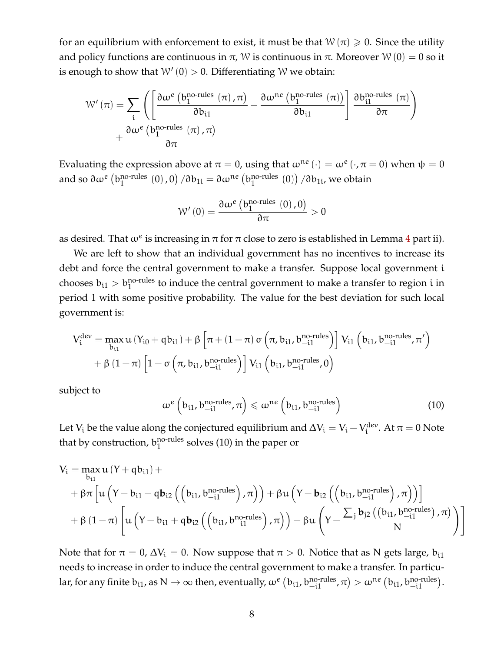for an equilibrium with enforcement to exist, it must be that  $W(\pi) \geq 0$ . Since the utility and policy functions are continuous in  $\pi$ , W is continuous in  $\pi$ . Moreover W (0) = 0 so it is enough to show that  $W'(0) > 0$ . Differentiating W we obtain:

$$
\mathcal{W}'(\pi) = \sum_{i} \left( \left[ \frac{\partial \omega^{e} \left( b_{1}^{\text{no-rules}}\left( \pi \right), \pi \right)}{\partial b_{i1}} - \frac{\partial \omega^{\text{ne}}\left( b_{1}^{\text{no-rules}}\left( \pi \right) \right)}{\partial b_{i1}} \right] \frac{\partial b_{i1}^{\text{no-rules}}\left( \pi \right)}{\partial \pi} \right) + \frac{\partial \omega^{e} \left( b_{1}^{\text{no-rules}}\left( \pi \right), \pi \right)}{\partial \pi}
$$

Evaluating the expression above at  $\pi = 0$ , using that  $\omega^{ne}(\cdot) = \omega^{e}(\cdot, \pi = 0)$  when  $\psi = 0$ and so  $\partial \omega^e\left( \mathrm{b}_1^{\mathrm{no\text{-}rules}} \right)$ no-rules  $(0)$  ,  $0)$   $/\partial b_{1i} = \partial \omega^{ne}$   $(b_1^{\text{no-rules}})$ <sup>no-rules</sup>  $(0)$ )  $/\partial b_{1i}$ , we obtain

$$
\mathcal{W}^{\prime}\left(0\right)=\frac{\partial\omega^{e}\left(b_{1}^{\text{no-rules}}\left(0\right),0\right)}{\partial\pi}>0
$$

as desired. That  $\omega^e$  is increasing in  $\pi$  for  $\pi$  close to zero is established in Lemma [4](#page-4-0) part ii).

We are left to show that an individual government has no incentives to increase its debt and force the central government to make a transfer. Suppose local government i chooses  $b_{i1} > b_1^{\text{no-rules}}$  to induce the central government to make a transfer to region i in period 1 with some positive probability. The value for the best deviation for such local government is:

$$
\begin{aligned} V^{dev}_i = \max_{b_{i1}} u \left( Y_{i0} + q b_{i1} \right) + \beta \left[ \pi + \left( 1 - \pi \right) \sigma \left( \pi, b_{i1}, b_{-i1}^{\text{no-rules}} \right) \right] V_{i1} \left( b_{i1}, b_{-i1}^{\text{no-rules}}, \pi' \right) \\ + \beta \left( 1 - \pi \right) \left[ 1 - \sigma \left( \pi, b_{i1}, b_{-i1}^{\text{no-rules}} \right) \right] V_{i1} \left( b_{i1}, b_{-i1}^{\text{no-rules}}, 0 \right) \end{aligned}
$$

subject to

$$
\omega^e \left( b_{i1}, b_{-i1}^{\text{no-rules}}, \pi \right) \leq \omega^{\text{ne}} \left( b_{i1}, b_{-i1}^{\text{no-rules}} \right) \tag{10}
$$

Let  $V_i$  be the value along the conjectured equilibrium and  $\Delta V_i = V_i - V_i^{\text{dev}}$  $i^{\text{dev}}$ . At  $\pi = 0$  Note that by construction,  $b_1^{\text{no-rules}}$ <sup>no-rules</sup> solves (10) in the paper or

$$
\begin{aligned} V_i &= \max_{b_{i1}} u \left( Y + q b_{i1} \right) + \\ &+ \beta \pi \left[ u \left( Y - b_{i1} + q b_{i2} \left( \left( b_{i1}, b_{-i1}^{\text{no-rules}} \right), \pi \right) \right) + \beta u \left( Y - b_{i2} \left( \left( b_{i1}, b_{-i1}^{\text{no-rules}} \right), \pi \right) \right) \right] \\ &+ \beta \left( 1 - \pi \right) \left[ u \left( Y - b_{i1} + q b_{i2} \left( \left( b_{i1}, b_{-i1}^{\text{no-rules}} \right), \pi \right) \right) + \beta u \left( Y - \frac{\sum_j b_{j2} \left( \left( b_{i1}, b_{-i1}^{\text{no-rules}} \right), \pi \right)}{N} \right) \right] \end{aligned}
$$

Note that for  $\pi = 0$ ,  $\Delta V_i = 0$ . Now suppose that  $\pi > 0$ . Notice that as N gets large,  $b_{i1}$ needs to increase in order to induce the central government to make a transfer. In particular, for any finite  $b_{i1}$ , as  $N \to \infty$  then, eventually,  $\omega^e(p_{i1}, b_{-i1}^{\text{no-rules}}, \pi) > \omega^{\text{ne}}(b_{i1}, b_{-i1}^{\text{no-rules}})$ .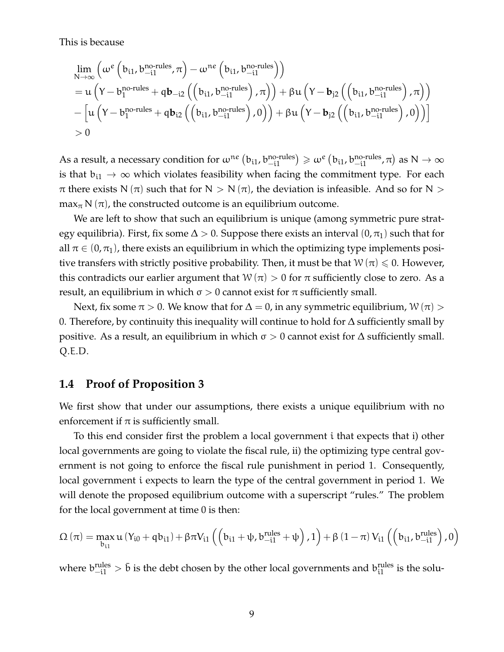This is because

$$
\begin{aligned} &\lim_{N\rightarrow\infty}\left(\omega^e\left(b_{i1},b_{-i1}^{no\text{-rules}},\pi\right)-\omega^{ne}\left(b_{i1},b_{-i1}^{no\text{-rules}}\right)\right)\\ &=u\left(Y-b_1^{no\text{-rules}}+qb_{-i2}\left(\left(b_{i1},b_{-i1}^{no\text{-rules}}\right),\pi\right)\right)+\beta u\left(Y-b_{j2}\left(\left(b_{i1},b_{-i1}^{no\text{-rules}}\right),\pi\right)\right)\\ &-\left[u\left(Y-b_1^{no\text{-rules}}+qb_{i2}\left(\left(b_{i1},b_{-i1}^{no\text{-rules}}\right),0\right)\right)+\beta u\left(Y-b_{j2}\left(\left(b_{i1},b_{-i1}^{no\text{-rules}}\right),0\right)\right)\right]\\ &>0\end{aligned}
$$

As a result, a necessary condition for  $\omega^{ne}$   $(b_{i1}$ ,  $b_{-i1}^{no\text{-rules}}) \geq \omega^e$   $(b_{i1}$ ,  $b_{-i1}^{no\text{-rules}}$ ,  $\pi)$  as  $N \to \infty$ is that  $b_{i1} \rightarrow \infty$  which violates feasibility when facing the commitment type. For each  $\pi$  there exists N ( $\pi$ ) such that for N > N ( $\pi$ ), the deviation is infeasible. And so for N > max<sub> $\pi$ </sub> N ( $\pi$ ), the constructed outcome is an equilibrium outcome.

We are left to show that such an equilibrium is unique (among symmetric pure strategy equilibria). First, fix some  $\Delta > 0$ . Suppose there exists an interval  $(0, \pi_1)$  such that for all  $\pi \in (0, \pi_1)$ , there exists an equilibrium in which the optimizing type implements positive transfers with strictly positive probability. Then, it must be that  $W(\pi) \leq 0$ . However, this contradicts our earlier argument that  $W(\pi) > 0$  for  $\pi$  sufficiently close to zero. As a result, an equilibrium in which  $\sigma > 0$  cannot exist for  $\pi$  sufficiently small.

Next, fix some  $\pi > 0$ . We know that for  $\Delta = 0$ , in any symmetric equilibrium,  $W(\pi) > 0$ 0. Therefore, by continuity this inequality will continue to hold for  $\Delta$  sufficiently small by positive. As a result, an equilibrium in which  $σ > 0$  cannot exist for  $Δ$  sufficiently small. Q.E.D.

## **1.4 Proof of Proposition 3**

We first show that under our assumptions, there exists a unique equilibrium with no enforcement if  $\pi$  is sufficiently small.

To this end consider first the problem a local government i that expects that i) other local governments are going to violate the fiscal rule, ii) the optimizing type central government is not going to enforce the fiscal rule punishment in period 1. Consequently, local government i expects to learn the type of the central government in period 1. We will denote the proposed equilibrium outcome with a superscript "rules." The problem for the local government at time 0 is then:

$$
\Omega\left(\pi\right)=\max_{b_{i1}}u\left(Y_{i0}+qb_{i1}\right)+\beta\pi V_{i1}\left(\left(b_{i1}+\psi,b_{-i1}^{rules}+\psi\right),1\right)+\beta\left(1-\pi\right)V_{i1}\left(\left(b_{i1},b_{-i1}^{rules}\right),0\right)
$$

where  $b_{-i1}^{rules} > \bar{b}$  is the debt chosen by the other local governments and  $b_{i1}^{rules}$  is the solu-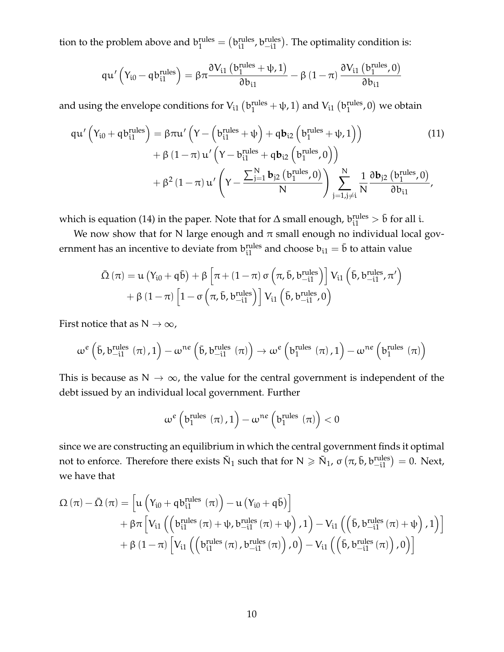tion to the problem above and  $b_1^{\text{rules}} = (b_{i1}^{\text{rules}}, b_{-i1}^{\text{rules}})$ . The optimality condition is:

$$
qu'\left(Y_{i0}-qb_{i1}^{rules}\right)=\beta\pi\frac{\partial V_{i1}\left(b_{1}^{rules}+\psi,1\right)}{\partial b_{i1}}-\beta\left(1-\pi\right)\frac{\partial V_{i1}\left(b_{1}^{rules},0\right)}{\partial b_{i1}}
$$

and using the envelope conditions for  $\rm V_{i1}$   $\rm (b_1^{rules}$  +  $\rm \psi$ , 1) and  $\rm V_{i1}$   $\rm (b_1^{rules}$  $_1^{\text{rules}}$ , 0) we obtain

$$
qu'\left(Y_{i0} + qb_{i1}^{rules}\right) = \beta \pi u'\left(Y - \left(b_{i1}^{rules} + \psi\right) + qb_{i2}\left(b_{1}^{rules} + \psi, 1\right)\right) \tag{11}
$$
\n
$$
+ \beta \left(1 - \pi\right)u'\left(Y - b_{i1}^{rules} + qb_{i2}\left(b_{1}^{rules}, 0\right)\right)
$$
\n
$$
+ \beta^{2} \left(1 - \pi\right)u'\left(Y - \frac{\sum_{j=1}^{N} b_{j2}\left(b_{1}^{rules}, 0\right)}{N}\right) \sum_{j=1, j \neq i}^{N} \frac{1}{N} \frac{\partial b_{j2}\left(b_{1}^{rules}, 0\right)}{\partial b_{i1}},
$$

which is equation (14) in the paper. Note that for  $\Delta$  small enough,  $b_{i1}^{rules} > \bar{b}$  for all i.

We now show that for N large enough and  $\pi$  small enough no individual local government has an incentive to deviate from  $\mathrm{b_{i1}^{rules}}$  and choose  $\mathrm{b_{i1}}=\bar{\mathrm{b}}$  to attain value

$$
\begin{aligned} \bar{\Omega}\left(\pi\right)=&u\left(Y_{i0}+\mathfrak{q}\bar{\mathfrak{b}}\right)+\beta\left[\pi+\left(1-\pi\right)\sigma\left(\pi,\bar{\mathfrak{b}},b_{-i1}^{\text{rules}}\right)\right]V_{i1}\left(\bar{\mathfrak{b}},b_{-i1}^{\text{rules}},\pi'\right)\\ &+\beta\left(1-\pi\right)\left[1-\sigma\left(\pi,\bar{\mathfrak{b}},b_{-i1}^{\text{rules}}\right)\right]V_{i1}\left(\bar{\mathfrak{b}},b_{-i1}^{\text{rules}},0\right) \end{aligned}
$$

First notice that as  $N \to \infty$ ,

$$
\omega^{e}\left(\bar{b},b_{-i1}^{rules}\left(\pi\right),1\right)-\omega^{ne}\left(\bar{b},b_{-i1}^{rules}\left(\pi\right)\right)\rightarrow\omega^{e}\left(b_{1}^{rules}\left(\pi\right),1\right)-\omega^{ne}\left(b_{1}^{rules}\left(\pi\right)\right)
$$

This is because as  $N \to \infty$ , the value for the central government is independent of the debt issued by an individual local government. Further

$$
\omega^e\left(b_1^{rules}(\pi),1\right) - \omega^{ne}\left(b_1^{rules}(\pi)\right) < 0
$$

since we are constructing an equilibrium in which the central government finds it optimal not to enforce. Therefore there exists  $\tilde{N}_1$  such that for  $N \ge \tilde{N}_1$ , σ $(\pi, \bar{b}, b_{-i1}^{\text{rules}}) = 0$ . Next, we have that

$$
\begin{aligned} \Omega\left(\pi\right)-\bar{\Omega}\left(\pi\right)&=\left[u\left(Y_{i0}+\mathfrak{q}\mathfrak{b}_{i1}^{\text{rules}}\left(\pi\right)\right)-u\left(Y_{i0}+\mathfrak{q}\bar{\mathfrak{b}}\right)\right]\\ &+\beta\pi\left[V_{i1}\left(\left(\mathfrak{b}_{i1}^{\text{rules}}\left(\pi\right)+\psi,\mathfrak{b}_{-i1}^{\text{rules}}\left(\pi\right)+\psi\right),1\right)-V_{i1}\left(\left(\bar{\mathfrak{b}},\mathfrak{b}_{-i1}^{\text{rules}}\left(\pi\right)+\psi\right),1\right)\right]\\ &+\beta\left(1-\pi\right)\left[V_{i1}\left(\left(\mathfrak{b}_{i1}^{\text{rules}}\left(\pi\right),\mathfrak{b}_{-i1}^{\text{rules}}\left(\pi\right)\right),0\right)-V_{i1}\left(\left(\bar{\mathfrak{b}},\mathfrak{b}_{-i1}^{\text{rules}}\left(\pi\right)\right),0\right)\right] \end{aligned}
$$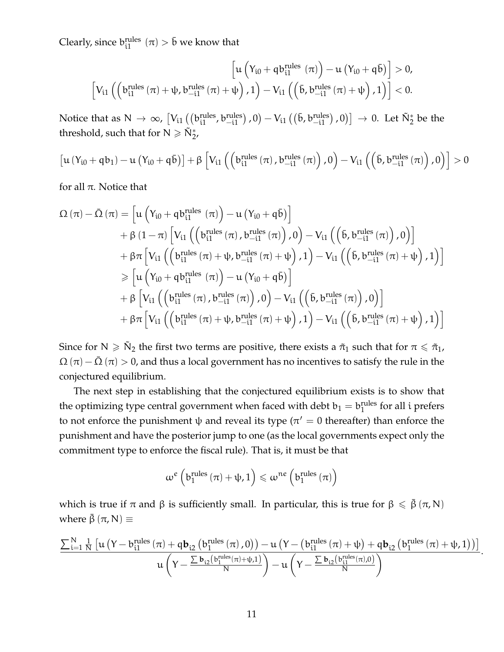Clearly, since  $b_{i1}^{rules}(\pi) > \bar{b}$  we know that

$$
\left[u\left(Y_{i0} + q\hspace{0.04cm}b_{i1}^\text{rules}\left(\pi\right)\right) - u\left(Y_{i0} + q\hspace{0.04cm}\bar{b}\right)\right] > 0, \\ \left[V_{i1}\left(\left(b_{i1}^\text{rules}\left(\pi\right) + \psi, b_{-i1}^\text{rules}\left(\pi\right) + \psi\right), 1\right) - V_{i1}\left(\left(\bar{b}, b_{-i1}^\text{rules}\left(\pi\right) + \psi\right), 1\right)\right] < 0.
$$

Notice that as  $N \to \infty$ ,  $\left[V_{i1}\left(\left(b_{i1}^{\text{rules}}, b_{-i1}^{\text{rules}}\right), 0\right) - V_{i1}\left(\left(\bar{b}, b_{-i1}^{\text{rules}}\right), 0\right)\right] \to 0$ . Let  $\tilde{N}_2^*$  be the threshold, such that for  $N \geq \tilde{N}_2^*$ ,

$$
\left[\boldsymbol{u}\left(Y_{i0}+q\boldsymbol{b}_{1}\right)-\boldsymbol{u}\left(Y_{i0}+q\boldsymbol{\bar{b}}\right)\right]+\beta\left[V_{i1}\left(\left(b_{i1}^{rules}\left(\pi\right),b_{-i1}^{rules}\left(\pi\right)\right),0\right)-V_{i1}\left(\left(\boldsymbol{\bar{b}},b_{-i1}^{rules}\left(\pi\right)\right),0\right)\right]>0
$$

for all π. Notice that

$$
\begin{aligned} \Omega\left(\pi\right)-\bar{\Omega}\left(\pi\right)&=\left[u\left(Y_{i0}+q b_{i1}^{rules}\left(\pi\right)\right)-u\left(Y_{i0}+q\bar{b}\right)\right] \\ &+\beta\left(1-\pi\right)\left[V_{i1}\left(\left(b_{i1}^{rules}\left(\pi\right),b_{-i1}^{rules}\left(\pi\right)\right),0\right)-V_{i1}\left(\left(\bar{b},b_{-i1}^{rules}\left(\pi\right)\right),0\right)\right] \\ &+\beta\pi\left[V_{i1}\left(\left(b_{i1}^{rules}\left(\pi\right)+\psi,b_{-i1}^{rules}\left(\pi\right)+\psi\right),1\right)-V_{i1}\left(\left(\bar{b},b_{-i1}^{rules}\left(\pi\right)+\psi\right),1\right)\right] \\ &\geqslant\left[u\left(Y_{i0}+q b_{i1}^{rules}\left(\pi\right)\right)-u\left(Y_{i0}+q\bar{b}\right)\right] \\ &+\beta\left[V_{i1}\left(\left(b_{i1}^{rules}\left(\pi\right),b_{-i1}^{rules}\left(\pi\right)\right),0\right)-V_{i1}\left(\left(\bar{b},b_{-i1}^{rules}\left(\pi\right)\right),0\right)\right] \\ &+\beta\pi\left[V_{i1}\left(\left(b_{i1}^{rules}\left(\pi\right)+\psi,b_{-i1}^{rules}\left(\pi\right)+\psi\right),1\right)-V_{i1}\left(\left(\bar{b},b_{-i1}^{rules}\left(\pi\right)+\psi\right),1\right)\right]\end{aligned}
$$

Since for  $N \geqslant \tilde{N}_2$  the first two terms are positive, there exists a  $\tilde{\pi}_1$  such that for  $\pi \leqslant \tilde{\pi}_1$ ,  $\Omega(\pi) - \overline{\Omega}(\pi) > 0$ , and thus a local government has no incentives to satisfy the rule in the conjectured equilibrium.

The next step in establishing that the conjectured equilibrium exists is to show that the optimizing type central government when faced with debt  $b_1 = b_1^{\text{rules}}$  $_1^{\text{rules}}$  for all i prefers to not enforce the punishment  $\psi$  and reveal its type ( $\pi' = 0$  thereafter) than enforce the punishment and have the posterior jump to one (as the local governments expect only the commitment type to enforce the fiscal rule). That is, it must be that

$$
\omega^e\left(b_1^{rules}\left(\pi\right)+\psi,1\right) \leqslant \omega^{ne}\left(b_1^{rules}\left(\pi\right)\right)
$$

which is true if  $\pi$  and  $\beta$  is sufficiently small. In particular, this is true for  $\beta \leq \bar{\beta}$  ( $\pi$ , N) where  $\bar{\beta}$  ( $\pi$ , N)  $\equiv$ 

$$
\frac{\sum_{i=1}^{N} \frac{1}{N}\left[u\left(Y - b_{i1}^{rules}\left(\pi\right) + q\boldsymbol{b}_{i2}\left(b_{1}^{rules}\left(\pi\right), 0\right)\right) - u\left(Y - \left(b_{i1}^{rules}\left(\pi\right) + \psi\right) + q\boldsymbol{b}_{i2}\left(b_{1}^{rules}\left(\pi\right) + \psi, 1\right)\right)\right]}{u\left(Y - \frac{\sum \boldsymbol{b}_{i2}\left(b_{1}^{rules}\left(\pi\right) + \psi, 1\right)}{N}\right) - u\left(Y - \frac{\sum \boldsymbol{b}_{i2}\left(b_{i1}^{rules}\left(\pi\right), 0\right)}{N}\right)}.
$$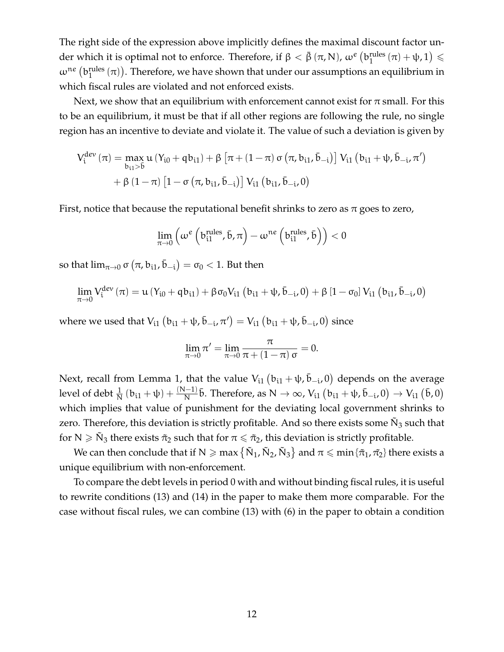The right side of the expression above implicitly defines the maximal discount factor under which it is optimal not to enforce. Therefore, if  $\beta < \bar{\beta}$  (π, N),  $\omega^e$  (b<sub>1</sub> mles  $\lim_{1} (\pi) + \psi, 1 \leq$  $\omega^{ne}$  (brules  $\binom{\text{rules}}{1}(\pi)$ ). Therefore, we have shown that under our assumptions an equilibrium in which fiscal rules are violated and not enforced exists.

Next, we show that an equilibrium with enforcement cannot exist for  $\pi$  small. For this to be an equilibrium, it must be that if all other regions are following the rule, no single region has an incentive to deviate and violate it. The value of such a deviation is given by

$$
\begin{aligned} V_i^{dev}\left(\pi\right) &= \max_{b_{i1}> \bar{b}} u\left(Y_{i0} + \mathfrak{q} b_{i1}\right) + \beta \left[\pi + \left(1-\pi\right)\sigma\left(\pi, b_{i1}, \bar{b}_{-i}\right)\right] V_{i1}\left(b_{i1} + \psi, \bar{b}_{-i}, \pi'\right) \\ &+ \beta \left(1-\pi\right)\left[1-\sigma\left(\pi, b_{i1}, \bar{b}_{-i}\right)\right] V_{i1}\left(b_{i1}, \bar{b}_{-i}, 0\right) \end{aligned}
$$

First, notice that because the reputational benefit shrinks to zero as  $\pi$  goes to zero,

$$
\lim_{\pi \to 0} \left( \omega^e \left( \mathbf{b}_{\mathrm{i1}}^{\mathrm{rules}}, \bar{\mathbf{b}}, \pi \right) - \omega^{\mathrm{ne}} \left( \mathbf{b}_{\mathrm{i1}}^{\mathrm{rules}}, \bar{\mathbf{b}} \right) \right) < 0
$$

so that  $\lim_{\pi\to 0} \sigma\left(\pi, \mathbf{b_{i1}}, \bar{\mathbf{b}}_{-i}\right) = \sigma_0 < 1.$  But then

$$
\lim_{\pi\rightarrow0}V_{i}^{dev}\left(\pi\right)=u\left(Y_{i0}+qb_{i1}\right)+\beta\sigma_{0}V_{i1}\left(b_{i1}+\psi,\bar{b}_{-i},0\right)+\beta\left[1-\sigma_{0}\right]V_{i1}\left(b_{i1},\bar{b}_{-i},0\right)
$$

where we used that  $V_{i1}$   $\left(b_{i1}+\psi,\bar{b}_{-i},\pi'\right)=V_{i1}\left(b_{i1}+\psi,\bar{b}_{-i},0\right)$  since

$$
\lim_{\pi \to 0} \pi' = \lim_{\pi \to 0} \frac{\pi}{\pi + (1 - \pi) \sigma} = 0.
$$

Next, recall from Lemma 1, that the value  $\mathrm{V_{i1}\left(b_{i1}+\psi,\bar{b}_{-i},0\right)}$  depends on the average level of debt  $\frac{1}{N}$   $(b_{i1} + \psi) + \frac{(N-1)}{N}$  $\frac{D-1}{N}$ **b**. Therefore, as N → ∞, V<sub>i1</sub>  $(b_{i1} + ψ, b_{-i}, 0)$  → V<sub>i1</sub>  $(b, 0)$ which implies that value of punishment for the deviating local government shrinks to zero. Therefore, this deviation is strictly profitable. And so there exists some  $\tilde{N}_3$  such that for  $N \geqslant \tilde{N}_3$  there exists  $\tilde{\pi}_2$  such that for  $\pi \leqslant \tilde{\pi}_2$ , this deviation is strictly profitable.

We can then conclude that if N  $\geqslant$  max  $\left\{\tilde{N}_1,\tilde{N}_2,\tilde{N}_3\right\}$  and  $\pi\leqslant$  min  $\{\tilde{\pi}_1,\tilde{\pi_2}\}$  there exists a unique equilibrium with non-enforcement.

To compare the debt levels in period 0 with and without binding fiscal rules, it is useful to rewrite conditions (13) and (14) in the paper to make them more comparable. For the case without fiscal rules, we can combine (13) with (6) in the paper to obtain a condition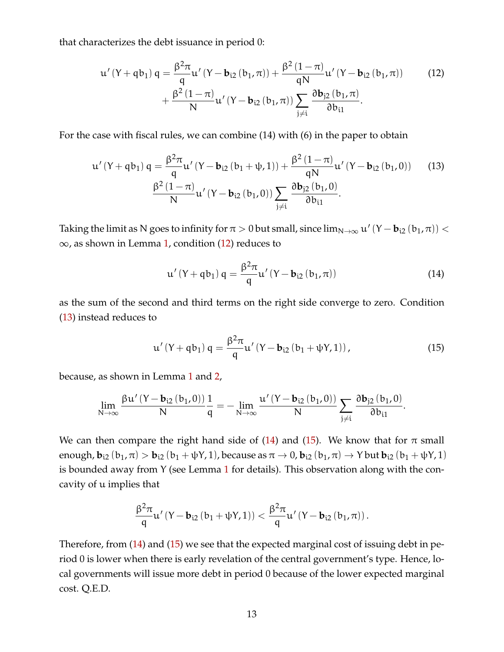that characterizes the debt issuance in period 0:

<span id="page-12-0"></span>
$$
u'(Y + qb_1) q = \frac{\beta^2 \pi}{q} u'(Y - b_{i2} (b_1, \pi)) + \frac{\beta^2 (1 - \pi)}{qN} u'(Y - b_{i2} (b_1, \pi))
$$
  
+ 
$$
\frac{\beta^2 (1 - \pi)}{N} u'(Y - b_{i2} (b_1, \pi)) \sum_{j \neq i} \frac{\partial b_{j2} (b_1, \pi)}{\partial b_{i1}}.
$$
 (12)

For the case with fiscal rules, we can combine (14) with (6) in the paper to obtain

$$
u'(Y + qb_1) q = \frac{\beta^2 \pi}{q} u'(Y - b_{i2} (b_1 + \psi, 1)) + \frac{\beta^2 (1 - \pi)}{qN} u'(Y - b_{i2} (b_1, 0))
$$
(13)  

$$
\frac{\beta^2 (1 - \pi)}{N} u'(Y - b_{i2} (b_1, 0)) \sum_{j \neq i} \frac{\partial b_{j2} (b_1, 0)}{\partial b_{i1}}.
$$

Taking the limit as N goes to infinity for  $\pi > 0$  but small, since  $\lim_{N \to \infty} u'(Y - b_{i2}(b_1, \pi)) <$  $\infty$ , as shown in Lemma [1,](#page-1-0) condition [\(12\)](#page-12-0) reduces to

<span id="page-12-2"></span><span id="page-12-1"></span>
$$
u'(Y + qb_1) q = \frac{\beta^2 \pi}{q} u'(Y - b_{i2} (b_1, \pi))
$$
 (14)

as the sum of the second and third terms on the right side converge to zero. Condition [\(13\)](#page-12-1) instead reduces to

<span id="page-12-3"></span>
$$
u'(Y + qb_1) q = \frac{\beta^2 \pi}{q} u'(Y - b_{i2} (b_1 + \psi Y, 1)),
$$
\n(15)

because, as shown in Lemma [1](#page-1-0) and [2,](#page-2-2)

$$
\lim_{N\to\infty}\frac{\beta u'\left(Y-\mathbf{b}_{i2}\left(b_{1},0\right)\right)}{N}\frac{1}{q}=-\lim_{N\to\infty}\frac{u'\left(Y-\mathbf{b}_{i2}\left(b_{1},0\right)\right)}{N}\sum_{j\neq i}\frac{\partial \mathbf{b}_{j2}\left(b_{1},0\right)}{\partial b_{i1}}.
$$

We can then compare the right hand side of [\(14\)](#page-12-2) and [\(15\)](#page-12-3). We know that for  $\pi$  small enough,  $\mathbf{b}_{i2}$  ( $\mathbf{b}_{1}$ ,  $\pi$ ) >  $\mathbf{b}_{i2}$  ( $\mathbf{b}_{1}$  +  $\psi$ Y, 1), because as  $\pi \to 0$ ,  $\mathbf{b}_{i2}$  ( $\mathbf{b}_{1}$ ,  $\pi$ )  $\to$  Y but  $\mathbf{b}_{i2}$  ( $\mathbf{b}_{1}$  +  $\psi$ Y, 1) is bounded away from Y (see Lemma [1](#page-1-0) for details). This observation along with the concavity of u implies that

$$
\frac{\beta^2\pi}{q}u'\left(Y-\mathbf{b}_{i2}\left(b_1+\psi Y,1\right)\right)<\frac{\beta^2\pi}{q}u'\left(Y-\mathbf{b}_{i2}\left(b_1,\pi\right)\right).
$$

Therefore, from [\(14\)](#page-12-2) and [\(15\)](#page-12-3) we see that the expected marginal cost of issuing debt in period 0 is lower when there is early revelation of the central government's type. Hence, local governments will issue more debt in period 0 because of the lower expected marginal cost. Q.E.D.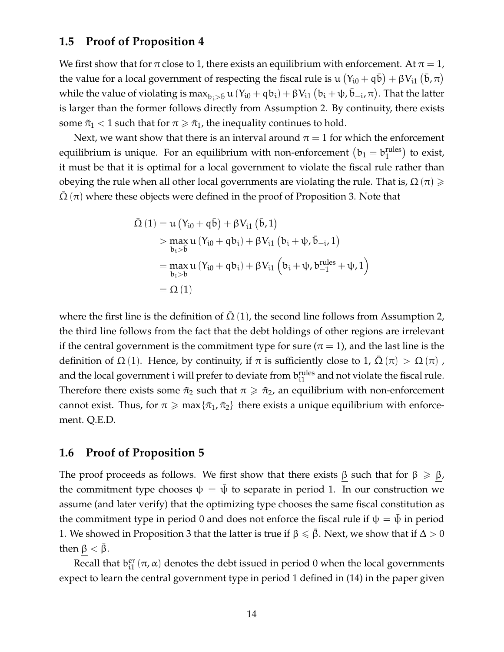#### **1.5 Proof of Proposition 4**

We first show that for  $\pi$  close to 1, there exists an equilibrium with enforcement. At  $\pi = 1$ , the value for a local government of respecting the fiscal rule is  $\mu(Y_{i0} + q\bar{b}) + \beta V_{i1} (\bar{b}, \pi)$ while the value of violating is  $\max_{b_i> \bar{b}} u(Y_{i0}+q b_i) + \beta V_{i1}(b_i+\psi,\bar{b}_{-i},\pi)$ . That the latter is larger than the former follows directly from Assumption 2. By continuity, there exists some  $\tilde{\pi}_1$  < 1 such that for  $\pi \geq \tilde{\pi}_1$ , the inequality continues to hold.

Next, we want show that there is an interval around  $\pi = 1$  for which the enforcement equilibrium is unique. For an equilibrium with non-enforcement  $(b_1 = b_1^{\text{rules}})$  $_1^{\text{rules}}$ ) to exist, it must be that it is optimal for a local government to violate the fiscal rule rather than obeying the rule when all other local governments are violating the rule. That is,  $\Omega(\pi) \geq$  $\Omega(\pi)$  where these objects were defined in the proof of Proposition 3. Note that

$$
\begin{aligned} \bar{\Omega}\left(1\right) &= u\left(Y_{i0} + q\bar{b}\right) + \beta V_{i1}\left(\bar{b}, 1\right) \\ &> \max_{b_i > \bar{b}} u\left(Y_{i0} + qb_i\right) + \beta V_{i1}\left(b_i + \psi, \bar{b}_{-i}, 1\right) \\ &= \max_{b_i > \bar{b}} u\left(Y_{i0} + qb_i\right) + \beta V_{i1}\left(b_i + \psi, b_{-1}^{\text{rules}} + \psi, 1\right) \\ &= \Omega\left(1\right) \end{aligned}
$$

where the first line is the definition of  $\overline{\Omega}(1)$ , the second line follows from Assumption 2, the third line follows from the fact that the debt holdings of other regions are irrelevant if the central government is the commitment type for sure ( $\pi = 1$ ), and the last line is the definition of  $\Omega$  (1). Hence, by continuity, if  $\pi$  is sufficiently close to 1,  $\Omega$  (π)  $>$   $\Omega$  (π), and the local government  $i$  will prefer to deviate from  $b_{i1}^{rules}$  and not violate the fiscal rule. Therefore there exists some  $\tilde{\pi}_2$  such that  $\pi \geq \tilde{\pi}_2$ , an equilibrium with non-enforcement cannot exist. Thus, for  $\pi \ge \max{\lbrace \tilde{\pi}_1, \tilde{\pi}_2 \rbrace}$  there exists a unique equilibrium with enforcement. Q.E.D.

#### **1.6 Proof of Proposition 5**

The proof proceeds as follows. We first show that there exists  $\beta$  such that for  $\beta \ge \beta$ , the commitment type chooses  $\psi = \bar{\psi}$  to separate in period 1. In our construction we assume (and later verify) that the optimizing type chooses the same fiscal constitution as the commitment type in period 0 and does not enforce the fiscal rule if  $\psi = \psi$  in period 1. We showed in Proposition 3 that the latter is true if  $\beta \leq \bar{\beta}$ . Next, we show that if  $\Delta > 0$ then  $\beta < \beta$ .

Recall that  $b_{i1}^{er}$  $_{i1}^{\text{er}}$  (π, α) denotes the debt issued in period 0 when the local governments expect to learn the central government type in period 1 defined in (14) in the paper given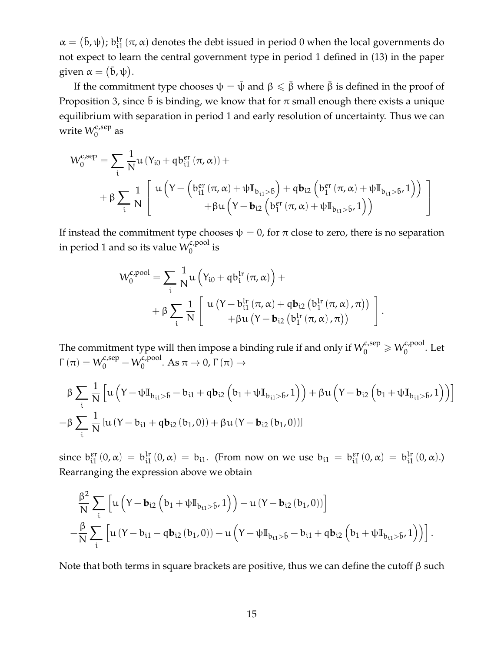$\alpha = (\bar{b}, \psi)$ ;  $b_{i1}^{lr}$  $\int_{11}^{1\pi}$  ( $\pi$ ,  $\alpha$ ) denotes the debt issued in period 0 when the local governments do not expect to learn the central government type in period 1 defined in (13) in the paper given  $\alpha = (\bar{b}, \psi)$ .

If the commitment type chooses  $\psi = \bar{\psi}$  and  $\beta \leq \bar{\beta}$  where  $\bar{\beta}$  is defined in the proof of Proposition 3, since  $\bar{b}$  is binding, we know that for  $\pi$  small enough there exists a unique equilibrium with separation in period 1 and early resolution of uncertainty. Thus we can write  $\mathcal{W}^{c,sep}_0$  as

$$
W_0^{c,sep} = \sum_i \frac{1}{N} u (Y_{i0} + q b_{i1}^{er} (\pi, \alpha)) +
$$
  
+  $\beta \sum_i \frac{1}{N} \left[ u \left( Y - \left( b_{i1}^{er} (\pi, \alpha) + \psi I_{b_{i1} > \bar{b}} \right) + q b_{i2} \left( b_{1}^{er} (\pi, \alpha) + \psi I_{b_{i1} > \bar{b}} \right) \right) \right. \\ + \beta u \left( Y - b_{i2} \left( b_{1}^{er} (\pi, \alpha) + \psi I_{b_{i1} > \bar{b}} \right) \right)$ 

If instead the commitment type chooses  $\psi = 0$ , for  $\pi$  close to zero, there is no separation in period 1 and so its value  $\mathcal{W}^{c,\text{pool}}_0$  $\int_{0}^{\infty}$  is

$$
W_0^{c,pool} = \sum_i \frac{1}{N} u \left( Y_{i0} + q b_i^{lr} (\pi, \alpha) \right) + + \beta \sum_i \frac{1}{N} \left[ u \left( Y - b_{i1}^{lr} (\pi, \alpha) + q b_{i2} \left( b_1^{lr} (\pi, \alpha) , \pi \right) \right) + \beta u \left( Y - b_{i2} \left( b_1^{lr} (\pi, \alpha) , \pi \right) \right) \right].
$$

The commitment type will then impose a binding rule if and only if  $W_0^{c, \text{sep}} \geqslant W_0^{c, \text{pool}}$  $_0^{\kappa, \text{pool}}$ . Let  $\Gamma(\pi) = W_0^{c, \text{sep}} - W_0^{c, \text{pool}}$  $0^{1, \text{pool}}$ . As  $\pi \to 0$ ,  $\Gamma(\pi) \to$ 

$$
\beta \sum_{i} \frac{1}{N} \left[ u \left( Y - \psi \mathbb{I}_{b_{i1} > \bar{b}} - b_{i1} + q b_{i2} \left( b_1 + \psi \mathbb{I}_{b_{i1} > \bar{b}}, 1 \right) \right) + \beta u \left( Y - b_{i2} \left( b_1 + \psi \mathbb{I}_{b_{i1} > \bar{b}}, 1 \right) \right) \right]
$$
  
-
$$
\beta \sum_{i} \frac{1}{N} \left[ u \left( Y - b_{i1} + q b_{i2} \left( b_1, 0 \right) \right) + \beta u \left( Y - b_{i2} \left( b_1, 0 \right) \right) \right]
$$

since  $b_{i1}^{er}$  $_{i1}^{\text{er}}(0,\alpha) = b_{i1}^{\text{lr}}$  $\int_{i1}^{ir} (0, \alpha) = b_{i1}$ . (From now on we use  $b_{i1} = b_{i1}^{er}$  $_{i1}^{\text{er}}(0,\alpha) = b_{i1}^{\text{lr}}$  $_{i1}^{lr}$   $(0, \alpha)$ .) Rearranging the expression above we obtain

$$
\frac{\beta^2}{N} \sum_{i} \left[ u \left( Y - \mathbf{b}_{i2} \left( b_1 + \psi I_{b_{i1} > \bar{b}}, 1 \right) \right) - u \left( Y - \mathbf{b}_{i2} \left( b_1, 0 \right) \right) \right] \n- \frac{\beta}{N} \sum_{i} \left[ u \left( Y - b_{i1} + q b_{i2} \left( b_1, 0 \right) \right) - u \left( Y - \psi I_{b_{i1} > \bar{b}} - b_{i1} + q b_{i2} \left( b_1 + \psi I_{b_{i1} > \bar{b}}, 1 \right) \right) \right].
$$

Note that both terms in square brackets are positive, thus we can define the cutoff  $β$  such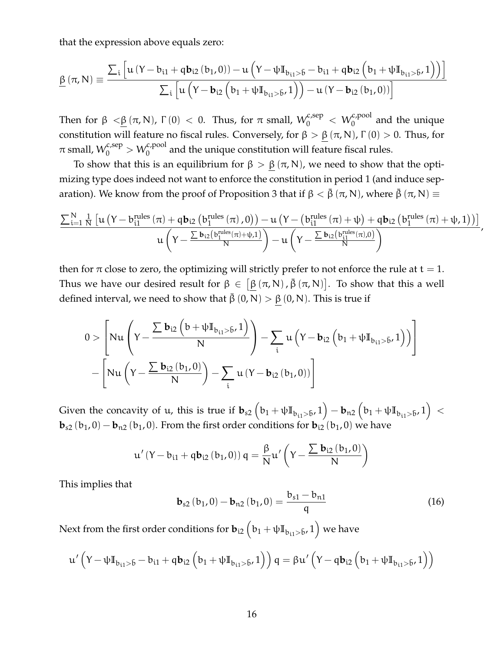that the expression above equals zero:

$$
\underline{\beta}\left(\pi,N\right)\equiv\frac{\sum_{i}\left[u\left(Y-b_{i1}+q b_{i2}\left(b_{1},0\right)\right)-u\left(Y-\psi\mathbb{I}_{b_{i1}> \bar{b}}-b_{i1}+q b_{i2}\left(b_{1}+\psi\mathbb{I}_{b_{i1}> \bar{b}},1\right)\right)\right]}{\sum_{i}\left[u\left(Y-b_{i2}\left(b_{1}+\psi\mathbb{I}_{b_{i1}> \bar{b}},1\right)\right)-u\left(Y-b_{i2}\left(b_{1},0\right)\right)\right]}
$$

Then for  $\beta < \underline{\beta}$  ( $\pi$ , N),  $\Gamma(0) < 0$ . Thus, for  $\pi$  small,  $W_0^{c,sep} < W_0^{c,pool}$  and the unique constitution will feature no fiscal rules. Conversely, for  $\beta > \beta (\pi, N)$ ,  $\Gamma(0) > 0$ . Thus, for  $\pi$  small,  $\mathcal{W}^{c,\text{sep}}_0>\mathcal{W}^{c,\text{pool}}_0$  and the unique constitution will feature fiscal rules.

To show that this is an equilibrium for  $\beta > \beta(\pi, N)$ , we need to show that the optimizing type does indeed not want to enforce the constitution in period 1 (and induce separation). We know from the proof of Proposition 3 that if  $\beta < \bar{\beta}(\pi, N)$ , where  $\bar{\beta}(\pi, N) \equiv$ 

$$
\frac{\sum_{i=1}^{N}\frac{1}{N}\left[u\left(Y - b_{i1}^{rules}\left(\pi\right) + q\bm{b}_{i2}\left(b_{1}^{rules}\left(\pi\right),0\right)\right) - u\left(Y - \left(b_{i1}^{rules}\left(\pi\right) + \psi\right) + q\bm{b}_{i2}\left(b_{1}^{rules}\left(\pi\right) + \psi,1\right)\right)\right]}{u\left(Y - \frac{\sum \bm{b}_{i2}\left(b_{1}^{rules}\left(\pi\right) + \psi,1\right)}{N}\right) - u\left(Y - \frac{\sum \bm{b}_{i2}\left(b_{i1}^{rules}\left(\pi\right),0\right)}{N}\right)},
$$

then for  $\pi$  close to zero, the optimizing will strictly prefer to not enforce the rule at  $t = 1$ . Thus we have our desired result for  $\beta \in [\beta (\pi ,N)$  ,  $\bar{\beta} (\pi ,N)]$ . To show that this a well defined interval, we need to show that  $\bar{\beta}(0, N) > \beta(0, N)$ . This is true if

$$
0 > \left[ Nu \left( Y - \frac{\sum \boldsymbol{b}_{i2} \left( b + \psi \mathbb{I}_{b_{i1} > \bar{b}}, 1 \right)}{N} \right) - \sum_{i} u \left( Y - \boldsymbol{b}_{i2} \left( b_{1} + \psi \mathbb{I}_{b_{i1} > \bar{b}}, 1 \right) \right) \right] \\ - \left[ Nu \left( Y - \frac{\sum \boldsymbol{b}_{i2} \left( b_{1}, 0 \right)}{N} \right) - \sum_{i} u \left( Y - \boldsymbol{b}_{i2} \left( b_{1}, 0 \right) \right) \right]
$$

Given the concavity of u, this is true if  $\mathbf{b}_{s2} \left( b_1 + \psi I\mathbb{I}_{b_{i1} > \bar{b}}, 1 \right) - \mathbf{b}_{n2} \left( b_1 + \psi I\mathbb{I}_{b_{i1} > \bar{b}}, 1 \right) \, < \,$ **. From the first order conditions for**  $**b**<sub>i2</sub>(b<sub>1</sub>, 0)$  **we have** 

$$
u'\left(Y - b_{i1} + q\mathbf{b}_{i2}\left(b_{1}, 0\right)\right)q = \frac{\beta}{N}u'\left(Y - \frac{\sum \mathbf{b}_{i2}\left(b_{1}, 0\right)}{N}\right)
$$

This implies that

<span id="page-15-0"></span>
$$
\mathbf{b}_{s2} (b_1, 0) - \mathbf{b}_{n2} (b_1, 0) = \frac{b_{s1} - b_{n1}}{q}
$$
 (16)

Next from the first order conditions for  $\mathbf{b}_{\mathfrak{i}2} \left( \bm{\mathfrak{b}}_1 + \bm{\mathfrak{\psi}} \mathbb{I}_{\mathfrak{b}_{\mathfrak{i}1} > \mathfrak{\bar{b}}},1 \right)$  we have

$$
u'\left(Y-\psi\mathbb{I}_{b_{i1}> \bar{b}}-b_{i1}+q b_{i2}\left(b_{1}+\psi\mathbb{I}_{b_{i1}> \bar{b}},1\right)\right)q=\beta u'\left(Y-q b_{i2}\left(b_{1}+\psi\mathbb{I}_{b_{i1}> \bar{b}},1\right)\right)
$$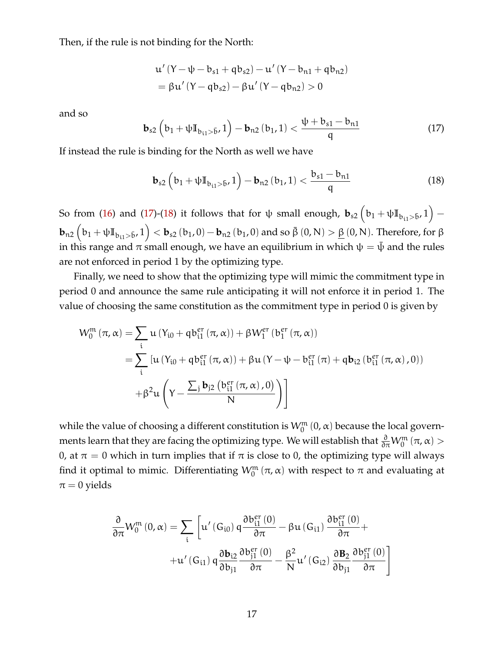Then, if the rule is not binding for the North:

$$
u'(Y - \psi - b_{s1} + qb_{s2}) - u'(Y - b_{n1} + qb_{n2})
$$
  
=  $\beta u'(Y - qb_{s2}) - \beta u'(Y - qb_{n2}) > 0$ 

and so

<span id="page-16-0"></span>
$$
\mathbf{b}_{s2} \left( b_1 + \psi I\mathbb{I}_{b_{t1} > \bar{b}}, 1 \right) - \mathbf{b}_{n2} \left( b_1, 1 \right) < \frac{\psi + b_{s1} - b_{n1}}{q} \tag{17}
$$

If instead the rule is binding for the North as well we have

<span id="page-16-1"></span>
$$
\mathbf{b}_{s2} \left( b_1 + \psi I\mathbb{I}_{b_{11} > \bar{b}}, 1 \right) - \mathbf{b}_{n2} \left( b_1, 1 \right) < \frac{b_{s1} - b_{n1}}{q} \tag{18}
$$

So from [\(16\)](#page-15-0) and [\(17\)](#page-16-0)-[\(18\)](#page-16-1) it follows that for  $\uppsi$  small enough,  ${\bf b}_{s2}\left(b_1 + \uppsi \mathbb{I}_{\text{b}_{\text{i}1} > \bar{\text{b}}}, 1 \right) \mathbf{b}_{\mathrm{n2}}\left(\mathbf{b}_1 + \psi \mathbb{I}_{\mathbf{b}_{\mathrm{i1}} > \bar{\mathbf{b}}}, 1\right) < \mathbf{b}_{\mathrm{s2}}\left(\mathbf{b}_1, 0 \right) - \mathbf{b}_{\mathrm{n2}}\left(\mathbf{b}_1, 0 \right)$  and so  $\bar{\beta}\left(0, \mathrm{N}\right) > \underline{\beta}\left(0, \mathrm{N}\right).$  Therefore, for  $\beta$ in this range and  $\pi$  small enough, we have an equilibrium in which  $\psi = \bar{\psi}$  and the rules are not enforced in period 1 by the optimizing type.

Finally, we need to show that the optimizing type will mimic the commitment type in period 0 and announce the same rule anticipating it will not enforce it in period 1. The value of choosing the same constitution as the commitment type in period 0 is given by

$$
W_0^{\mathfrak{m}}(\pi, \alpha) = \sum_{i} u (Y_{i0} + \mathfrak{q} b_{i1}^{er}(\pi, \alpha)) + \beta W_1^{er} (b_1^{er}(\pi, \alpha))
$$
  
= 
$$
\sum_{i} [u (Y_{i0} + \mathfrak{q} b_{i1}^{er}(\pi, \alpha)) + \beta u (Y - \psi - b_{i1}^{er}(\pi) + \mathfrak{q} b_{i2} (b_{i1}^{er}(\pi, \alpha), 0))
$$
  
+ 
$$
\beta^2 u \left(Y - \frac{\sum_{j} b_{j2} (b_{i1}^{er}(\pi, \alpha), 0)}{N} \right)
$$

while the value of choosing a different constitution is  $W_0^m(0, \alpha)$  because the local governments learn that they are facing the optimizing type. We will establish that  $\frac{\partial}{\partial\pi}W_0^{\mathfrak{m}}\left(\pi,\alpha\right)>$ 0, at  $\pi = 0$  which in turn implies that if  $\pi$  is close to 0, the optimizing type will always find it optimal to mimic. Differentiating  $W_0^m(\pi, \alpha)$  with respect to  $\pi$  and evaluating at  $\pi = 0$  yields

$$
\frac{\partial}{\partial \pi} W_{0}^{m} \left(0, \alpha\right) = \sum_{i} \left[ u' \left(G_{i0}\right) q \frac{\partial b_{i1}^{er}\left(0\right)}{\partial \pi} - \beta u \left(G_{i1}\right) \frac{\partial b_{i1}^{er}\left(0\right)}{\partial \pi} + \right. \\ \left. + u' \left(G_{i1}\right) q \frac{\partial b_{i2}}{\partial b_{j1}} \frac{\partial b_{j1}^{er}\left(0\right)}{\partial \pi} - \frac{\beta^{2}}{N} u' \left(G_{i2}\right) \frac{\partial B_{2}}{\partial b_{j1}} \frac{\partial b_{j1}^{er}\left(0\right)}{\partial \pi} \right]
$$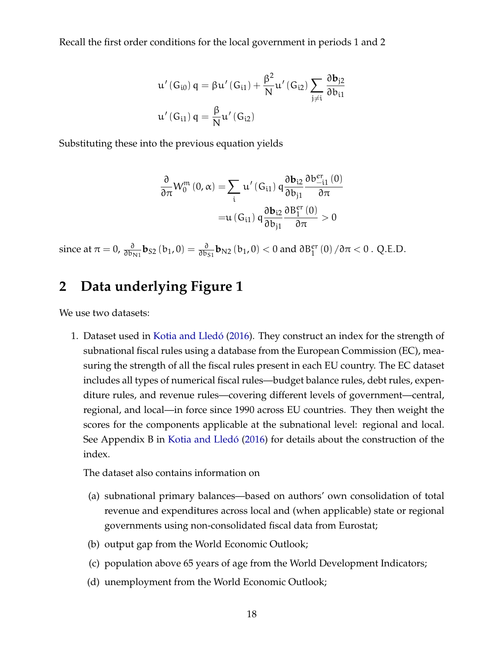<span id="page-17-0"></span>Recall the first order conditions for the local government in periods 1 and 2

$$
\begin{array}{l} \displaystyle u' \left( G_{i0} \right) q = \beta u' \left( G_{i1} \right) + \frac{\beta^2}{N} u' \left( G_{i2} \right) \sum_{j \neq i} \frac{\partial b_{j2}}{\partial b_{i1}} \\ \displaystyle u' \left( G_{i1} \right) q = \frac{\beta}{N} u' \left( G_{i2} \right) \end{array}
$$

Substituting these into the previous equation yields

$$
\begin{aligned} \frac{\partial}{\partial \pi} W_{0}^{m}\left(0,\alpha\right)=&\sum_{i}u'\left(G_{i1}\right)q\frac{\partial b_{i2}}{\partial b_{j1}}\frac{\partial b_{-i1}^{er}\left(0\right)}{\partial \pi}\\ =&u\left(G_{i1}\right)q\frac{\partial b_{i2}}{\partial b_{j1}}\frac{\partial B_{1}^{er}\left(0\right)}{\partial \pi}>0 \end{aligned}
$$

since at  $\pi = 0$ ,  $\frac{\partial}{\partial b_{\text{N1}}} \mathbf{b}_{S2}$   $(b_1, 0) = \frac{\partial}{\partial b_S}$  $\frac{\partial}{\partial b_{S1}}$ **b**<sub>N2</sub> (**b**<sub>1</sub>, 0) < 0 and  $\partial B_1^{\text{er}}(0) / \partial \pi$  < 0 . Q.E.D.

# **2 Data underlying Figure 1**

We use two datasets:

1. Dataset used in [Kotia and Lledó](#page-19-0) [\(2016\)](#page-19-0). They construct an index for the strength of subnational fiscal rules using a database from the European Commission (EC), measuring the strength of all the fiscal rules present in each EU country. The EC dataset includes all types of numerical fiscal rules—budget balance rules, debt rules, expenditure rules, and revenue rules—covering different levels of government—central, regional, and local—in force since 1990 across EU countries. They then weight the scores for the components applicable at the subnational level: regional and local. See Appendix B in [Kotia and Lledó](#page-19-0) [\(2016\)](#page-19-0) for details about the construction of the index.

The dataset also contains information on

- (a) subnational primary balances—based on authors' own consolidation of total revenue and expenditures across local and (when applicable) state or regional governments using non-consolidated fiscal data from Eurostat;
- (b) output gap from the World Economic Outlook;
- (c) population above 65 years of age from the World Development Indicators;
- (d) unemployment from the World Economic Outlook;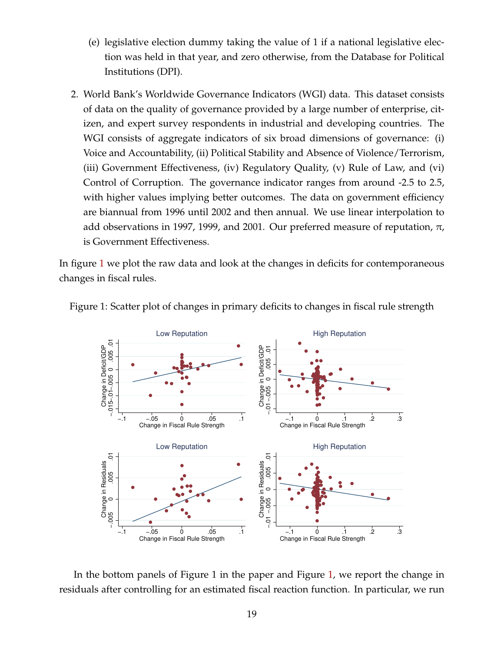- (e) legislative election dummy taking the value of 1 if a national legislative election was held in that year, and zero otherwise, from the Database for Political Institutions (DPI).
- 2. World Bank's Worldwide Governance Indicators (WGI) data. This dataset consists of data on the quality of governance provided by a large number of enterprise, citizen, and expert survey respondents in industrial and developing countries. The WGI consists of aggregate indicators of six broad dimensions of governance: (i) Voice and Accountability, (ii) Political Stability and Absence of Violence/Terrorism, (iii) Government Effectiveness, (iv) Regulatory Quality, (v) Rule of Law, and (vi) Control of Corruption. The governance indicator ranges from around -2.5 to 2.5, with higher values implying better outcomes. The data on government efficiency are biannual from 1996 until 2002 and then annual. We use linear interpolation to add observations in 1997, 1999, and 2001. Our preferred measure of reputation,  $\pi$ , is Government Effectiveness.

In figure [1](#page-18-0) we plot the raw data and look at the changes in deficits for contemporaneous changes in fiscal rules.



<span id="page-18-0"></span>

In the bottom panels of Figure 1 in the paper and Figure [1,](#page-18-0) we report the change in residuals after controlling for an estimated fiscal reaction function. In particular, we run